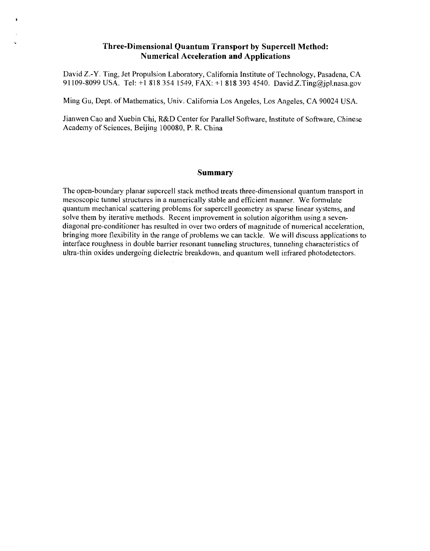## **Three-Dimensional Quantum Transport by Supercell Method: Numerical Acceleration and Applications**

David Z.-Y. Ting, Jet Propulsion Laboratory, California Institute of Technology, Pasadena, CA 91109-8099 USA. Tel: +1 818 354 1549, FAX: +1 818 393 4540. [David.Z.Ting@jpl.nasa.gov](mailto:David.Z.Ting@jpl.nasa.gov) 

Ming Gu, Dept. of Mathematics, Univ. California Los Angeles, Los Angeles, CA 90024 USA.

Jianwen Cao and Xuebin Chi, R&D Center for Parallel Software, Institute of Software, Chinese Academy of Sciences, Beijing 100080, P. R. China

## **Summary**

The open-boundary planar supercell stack method treats three-dimensional quantum transport in mesoscopic tunnel structures in a numerically stable and efficient manner. We formulate quantum mechanical scattering problems for supercell geometry as sparse linear systems, and solve them by iterative methods. Recent improvement in solution algorithm using a sevendiagonal pre-conditioner has resulted in over two orders of magnitude of numerical acceleration, bringing more flexibility in the range of problems we can tackle. We will discuss applications to interface roughness in double barrier resonant tunneling structures, tunneling characteristics of ultra-thin oxides undergoing dielectric breakdown, and quantum well infrared photodetectors.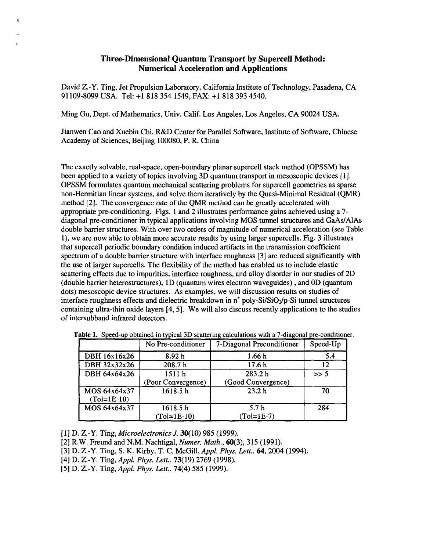## **Three-Dimensional Quantum Transport by Supercell Method: Numerical Acceleration and Applications**

David *Z.-Y.* Ting, Jet Propulsion Laboratory, California Institute of Technology, Pasadena, CA 91109-8099 USA. Tel: +1818 354 1549, FAX: +1818 393 4540.

Ming Gu, Dept. of Mathematics, Univ. Calif. Los Angeles, Los Angeles, CA 90024 USA.

**I** 

Jianwen Cao and Xuebin Chi, R&D Center for Parallel Software, Institute of Software, Chinese Academy of Sciences, Beijing 100080, P. R. China

The exactly solvable, real-space, open-boundary planar supercell stack method (OPSSM) has been applied to a variety of topics involving 3D quantum transport in mesoscopic devices [ 11. OPSSM formulates quantum mechanical scattering problems for supercell geometries as sparse non-Hermitian linear systems, and solve them iteratively by the Quasi-Minimal Residual (QMR) method **[2].** The convergence rate of the QMR method can be greatly accelerated with appropriate pre-conditioning. [Figs. 1](#page-2-0) and 2 illustrates performance gains achieved using a **7**  diagonal pre-conditioner in typical applications involving MOS tunnel structures and GaAs/AlAs double barrier structures. With over two orders of magnitude of numerical acceleration (see Table l), we are now able to obtain more accurate results by using larger supercells. [Fig. 3](#page-2-0) illustrates that supercell periodic boundary condition induced artifacts in the transmission coefficient spectrum of a double barrier structure with interface roughness [3] are reduced significantly with the use of larger supercells. The flexibility of the method has enabled us to include elastic scattering effects due to impurities, interface roughness, and alloy disorder in our studies of 2D (double barrier heterostructures), ID (quantum wires electron waveguides) , and OD (quantum dots) mesoscopic device structures. As examples, we will discussion results on studies of interface roughness effects and dielectric breakdown in  $n^{+}$  poly-Si/SiO<sub>2</sub>/p-Si tunnel structures containing ultra-thin oxide layers **[4,5].** We will also discuss recently applications to the studies of intersubband infrared detectors.

|                               | No Pre-conditioner           | 7-Diagonal Preconditioner        | Speed-Up |
|-------------------------------|------------------------------|----------------------------------|----------|
| DBH 16x16x26                  | 8.92 h                       | 1.66h                            | 5.4      |
| DBH 32x32x26                  | 208.7h                       | 17.6 h                           | 12       |
| DBH 64x64x26                  | 1511 h<br>(Poor Convergence) | 283.2 h<br>(Good Convergence)    | $>> 5$   |
| MOS 64x64x37<br>$(Tol=1E-10)$ | 1618.5h                      | 23.2 <sub>h</sub>                | 70       |
| MOS 64x64x37                  | 1618.5h<br>$(Tol=1E-10)$     | 5.7 <sub>h</sub><br>$(Tol=1E-7)$ | 284      |

Table 1. Speed-up obtained in typical 3D scattering calculations with a 7-diagonal pre-conditioner.

[ 11 D. *2.-Y.* Ting, *Microelectronics J.* **30(** 10) 985 (1999).

[2] R.W. Freund and N.M. Nachtigal, *Numer. Math.,* 60(3), 315 (1991).

[3] **D.** 2.-Y. Ting, **S.** K. Kirby, T. **C.** McGill, *Appl. Phys. Lett..* 64,2004 (1994).

[4] D. 2.-Y. Ting, *Appl. Phys. Lett..* 73( 19) 2769 (1998).

**[5]** D. *Z.-Y.* Ting, *Appl. Phys. Lett..* 74(4) 585 (1999).